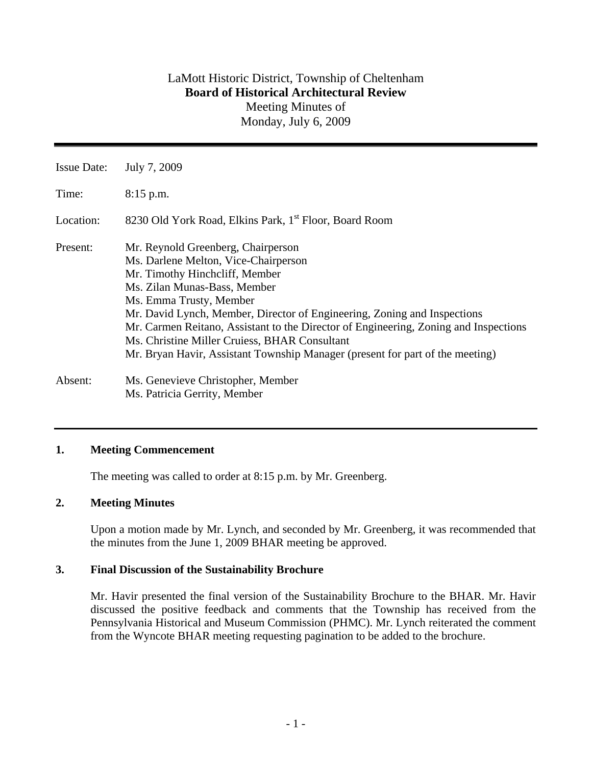| <b>Issue Date:</b> | July 7, 2009                                                                                                                                                                                                                                                                                                                                                                                                                                                                  |
|--------------------|-------------------------------------------------------------------------------------------------------------------------------------------------------------------------------------------------------------------------------------------------------------------------------------------------------------------------------------------------------------------------------------------------------------------------------------------------------------------------------|
| Time:              | $8:15$ p.m.                                                                                                                                                                                                                                                                                                                                                                                                                                                                   |
| Location:          | 8230 Old York Road, Elkins Park, 1 <sup>st</sup> Floor, Board Room                                                                                                                                                                                                                                                                                                                                                                                                            |
| Present:           | Mr. Reynold Greenberg, Chairperson<br>Ms. Darlene Melton, Vice-Chairperson<br>Mr. Timothy Hinchcliff, Member<br>Ms. Zilan Munas-Bass, Member<br>Ms. Emma Trusty, Member<br>Mr. David Lynch, Member, Director of Engineering, Zoning and Inspections<br>Mr. Carmen Reitano, Assistant to the Director of Engineering, Zoning and Inspections<br>Ms. Christine Miller Cruiess, BHAR Consultant<br>Mr. Bryan Havir, Assistant Township Manager (present for part of the meeting) |
| Absent:            | Ms. Genevieve Christopher, Member<br>Ms. Patricia Gerrity, Member                                                                                                                                                                                                                                                                                                                                                                                                             |

## **1. Meeting Commencement**

The meeting was called to order at 8:15 p.m. by Mr. Greenberg.

## **2. Meeting Minutes**

 Upon a motion made by Mr. Lynch, and seconded by Mr. Greenberg, it was recommended that the minutes from the June 1, 2009 BHAR meeting be approved.

## **3. Final Discussion of the Sustainability Brochure**

Mr. Havir presented the final version of the Sustainability Brochure to the BHAR. Mr. Havir discussed the positive feedback and comments that the Township has received from the Pennsylvania Historical and Museum Commission (PHMC). Mr. Lynch reiterated the comment from the Wyncote BHAR meeting requesting pagination to be added to the brochure.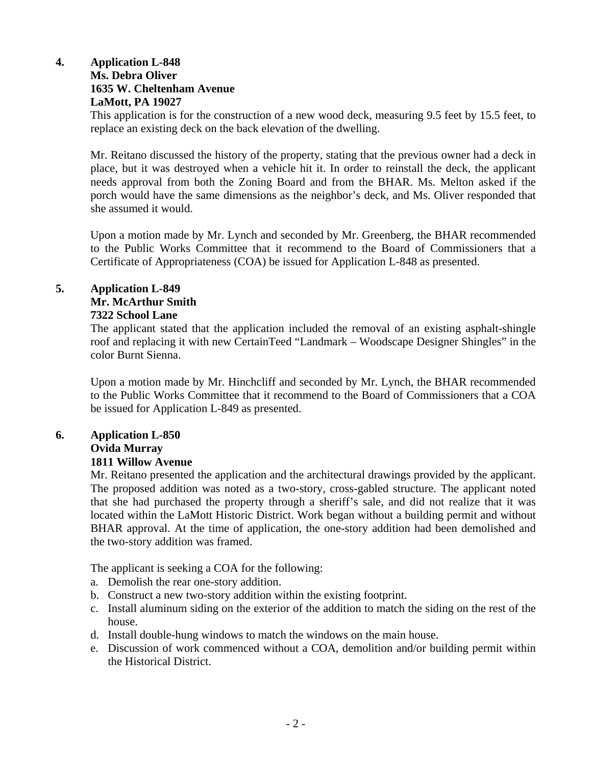# **4. Application L-848 Ms. Debra Oliver 1635 W. Cheltenham Avenue LaMott, PA 19027**

This application is for the construction of a new wood deck, measuring 9.5 feet by 15.5 feet, to replace an existing deck on the back elevation of the dwelling.

Mr. Reitano discussed the history of the property, stating that the previous owner had a deck in place, but it was destroyed when a vehicle hit it. In order to reinstall the deck, the applicant needs approval from both the Zoning Board and from the BHAR. Ms. Melton asked if the porch would have the same dimensions as the neighbor's deck, and Ms. Oliver responded that she assumed it would.

Upon a motion made by Mr. Lynch and seconded by Mr. Greenberg, the BHAR recommended to the Public Works Committee that it recommend to the Board of Commissioners that a Certificate of Appropriateness (COA) be issued for Application L-848 as presented.

# **5. Application L-849 Mr. McArthur Smith 7322 School Lane**

The applicant stated that the application included the removal of an existing asphalt-shingle roof and replacing it with new CertainTeed "Landmark – Woodscape Designer Shingles" in the color Burnt Sienna.

Upon a motion made by Mr. Hinchcliff and seconded by Mr. Lynch, the BHAR recommended to the Public Works Committee that it recommend to the Board of Commissioners that a COA be issued for Application L-849 as presented.

# **6. Application L-850 Ovida Murray**

# **1811 Willow Avenue**

Mr. Reitano presented the application and the architectural drawings provided by the applicant. The proposed addition was noted as a two-story, cross-gabled structure. The applicant noted that she had purchased the property through a sheriff's sale, and did not realize that it was located within the LaMott Historic District. Work began without a building permit and without BHAR approval. At the time of application, the one-story addition had been demolished and the two-story addition was framed.

The applicant is seeking a COA for the following:

- a. Demolish the rear one-story addition.
- b. Construct a new two-story addition within the existing footprint.
- c. Install aluminum siding on the exterior of the addition to match the siding on the rest of the house.
- d. Install double-hung windows to match the windows on the main house.
- e. Discussion of work commenced without a COA, demolition and/or building permit within the Historical District.